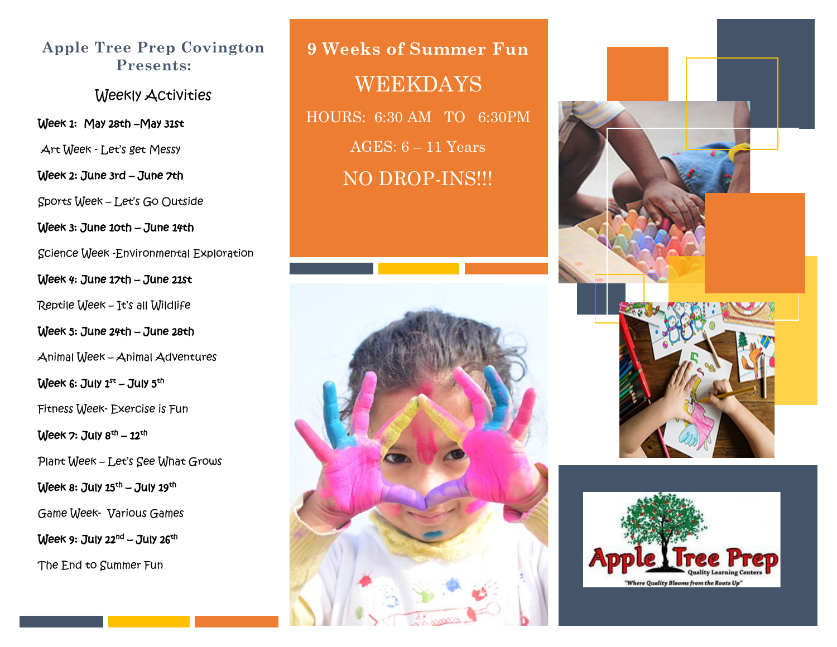#### **Apple Tree Prep Covington Presents:**

Weekly Activities

Week 1: May 28th - May 31st

Art Week - Let's get Messy

Week 2: June 3rd – June 7th

Sports Week – Let's Go Outside

Week 3: June 10th – June 14th

Science Week -Environmental Exploration

Week 4: June 17th – June 21st

Reptile Week – It's all Wildlife

Week 5: June 24th – June 28th

Animal Week – Animal Adventures

Week 6: July  $1^{st}$  – July  $5^{th}$ 

Fitness Week- Exercise is Fun

Week 7: July  $8<sup>th</sup> - 12<sup>th</sup>$ 

Plant Week – Let's See What Grows

Week 8: July  $15<sup>th</sup>$  – July  $19<sup>th</sup>$ 

Game Week- Various Games

Week 9: July  $22<sup>nd</sup>$  – July  $26<sup>th</sup>$ 

The End to Summer Fun

**9 Weeks of Summer Fun** WEEKDAYS HOURS: 6:30 AM TO 6:30PM AGES: 6 – 11 Years NO DROP-INS!!!